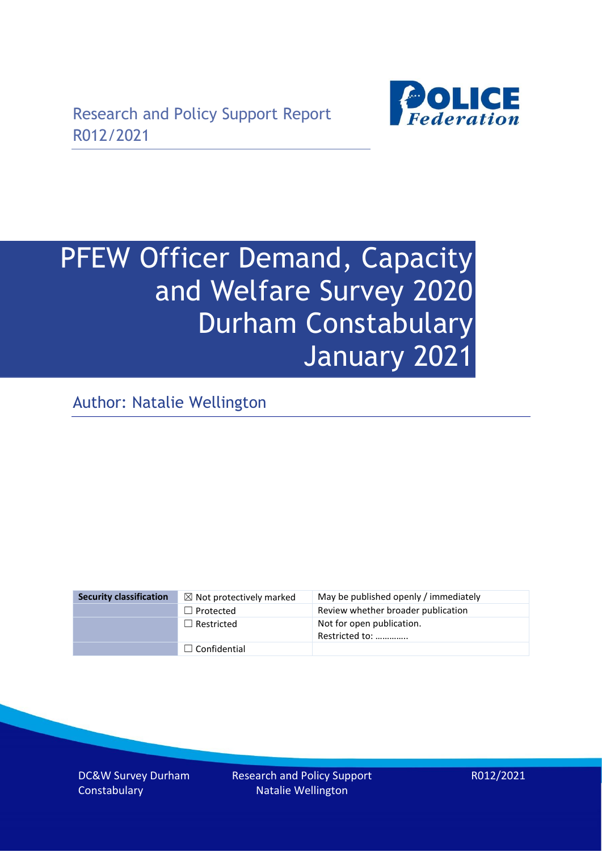

# PFEW Officer Demand, Capacity and Welfare Survey 2020 Durham Constabulary January 2021

Author: Natalie Wellington

| <b>Security classification</b> | $\boxtimes$ Not protectively marked | May be published openly / immediately       |
|--------------------------------|-------------------------------------|---------------------------------------------|
|                                | $\Box$ Protected                    | Review whether broader publication          |
|                                | $\Box$ Restricted                   | Not for open publication.<br>Restricted to: |
|                                | $\Box$ Confidential                 |                                             |

DC&W Survey Durham **Constabulary** 

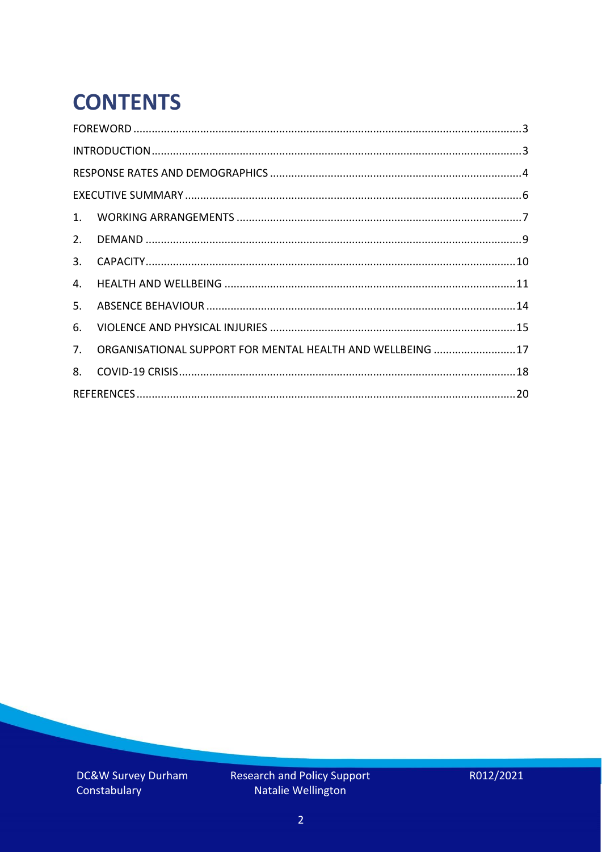# **CONTENTS**

| 4.          |                                                            |  |
|-------------|------------------------------------------------------------|--|
| 5.          |                                                            |  |
| 6.          |                                                            |  |
| $7_{\cdot}$ | ORGANISATIONAL SUPPORT FOR MENTAL HEALTH AND WELLBEING  17 |  |
| 8.          |                                                            |  |
|             |                                                            |  |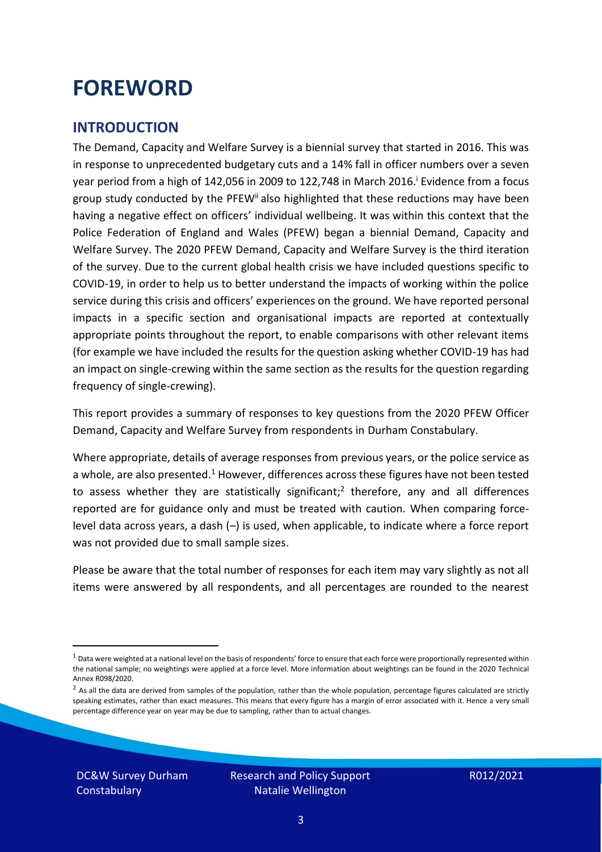### <span id="page-2-0"></span>**FOREWORD**

### <span id="page-2-1"></span>**INTRODUCTION**

The Demand, Capacity and Welfare Survey is a biennial survey that started in 2016. This was in response to unprecedented budgetary cuts and a 14% fall in officer numbers over a seven year period from a high of 142,056 in 2009 to 122,748 in March 2016. <sup>i</sup> Evidence from a focus group study conducted by the PFEW<sup>ii</sup> also highlighted that these reductions may have been having a negative effect on officers' individual wellbeing. It was within this context that the Police Federation of England and Wales (PFEW) began a biennial Demand, Capacity and Welfare Survey. The 2020 PFEW Demand, Capacity and Welfare Survey is the third iteration of the survey. Due to the current global health crisis we have included questions specific to COVID-19, in order to help us to better understand the impacts of working within the police service during this crisis and officers' experiences on the ground. We have reported personal impacts in a specific section and organisational impacts are reported at contextually appropriate points throughout the report, to enable comparisons with other relevant items (for example we have included the results for the question asking whether COVID-19 has had an impact on single-crewing within the same section as the results for the question regarding frequency of single-crewing).

This report provides a summary of responses to key questions from the 2020 PFEW Officer Demand, Capacity and Welfare Survey from respondents in Durham Constabulary.

Where appropriate, details of average responses from previous years, or the police service as a whole, are also presented.<sup>1</sup> However, differences across these figures have not been tested to assess whether they are statistically significant;<sup>2</sup> therefore, any and all differences reported are for guidance only and must be treated with caution. When comparing forcelevel data across years, a dash (–) is used, when applicable, to indicate where a force report was not provided due to small sample sizes.

Please be aware that the total number of responses for each item may vary slightly as not all items were answered by all respondents, and all percentages are rounded to the nearest

DC&W Survey Durham **Constabulary** 

 $1$  Data were weighted at a national level on the basis of respondents' force to ensure that each force were proportionally represented within the national sample; no weightings were applied at a force level. More information about weightings can be found in the 2020 Technical Annex R098/2020.

 $2$  As all the data are derived from samples of the population, rather than the whole population, percentage figures calculated are strictly speaking estimates, rather than exact measures. This means that every figure has a margin of error associated with it. Hence a very small percentage difference year on year may be due to sampling, rather than to actual changes.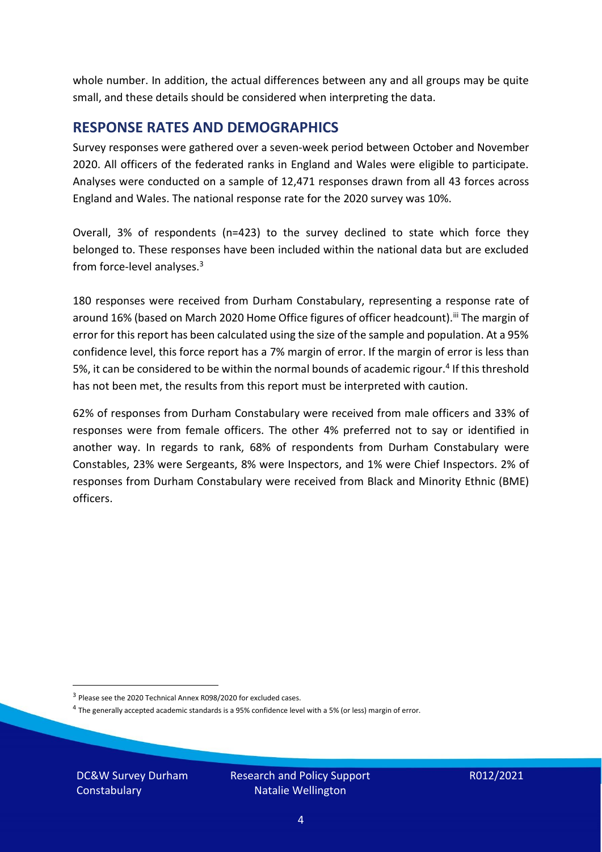whole number. In addition, the actual differences between any and all groups may be quite small, and these details should be considered when interpreting the data.

#### <span id="page-3-0"></span>**RESPONSE RATES AND DEMOGRAPHICS**

Survey responses were gathered over a seven-week period between October and November 2020. All officers of the federated ranks in England and Wales were eligible to participate. Analyses were conducted on a sample of 12,471 responses drawn from all 43 forces across England and Wales. The national response rate for the 2020 survey was 10%.

Overall, 3% of respondents (n=423) to the survey declined to state which force they belonged to. These responses have been included within the national data but are excluded from force-level analyses.<sup>3</sup>

180 responses were received from Durham Constabulary, representing a response rate of around 16% (based on March 2020 Home Office figures of officer headcount).<sup>iii</sup> The margin of error for this report has been calculated using the size of the sample and population. At a 95% confidence level, this force report has a 7% margin of error. If the margin of error is less than 5%, it can be considered to be within the normal bounds of academic rigour.<sup>4</sup> If this threshold has not been met, the results from this report must be interpreted with caution.

62% of responses from Durham Constabulary were received from male officers and 33% of responses were from female officers. The other 4% preferred not to say or identified in another way. In regards to rank, 68% of respondents from Durham Constabulary were Constables, 23% were Sergeants, 8% were Inspectors, and 1% were Chief Inspectors. 2% of responses from Durham Constabulary were received from Black and Minority Ethnic (BME) officers.

DC&W Survey Durham **Constabulary** 

<sup>&</sup>lt;sup>3</sup> Please see the 2020 Technical Annex R098/2020 for excluded cases.

<sup>&</sup>lt;sup>4</sup> The generally accepted academic standards is a 95% confidence level with a 5% (or less) margin of error.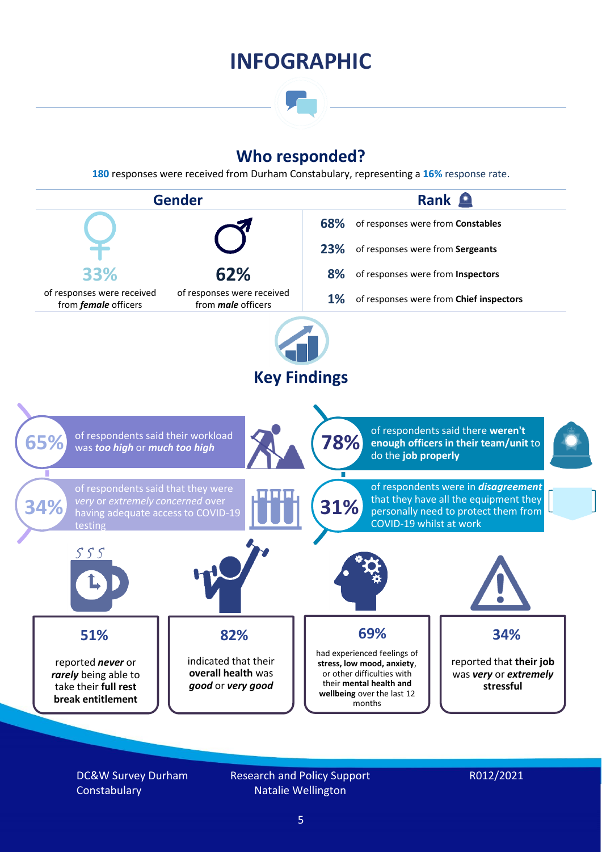### **INFOGRAPHIC**

### **Who responded?**

**180** responses were received from Durham Constabulary, representing a **16%** response rate.



DC&W Survey Durham **Constabulary** 

Research and Policy Support Natalie Wellington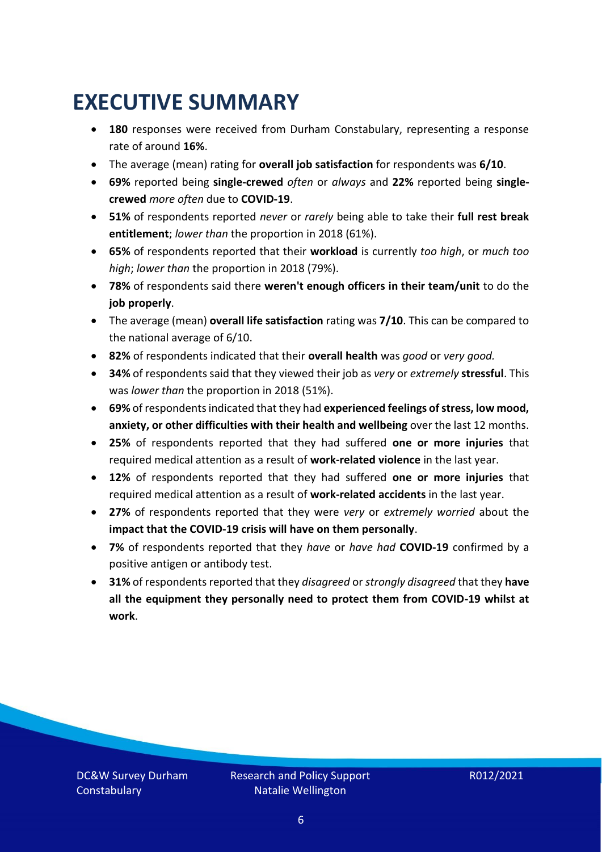### <span id="page-5-0"></span>**EXECUTIVE SUMMARY**

- **180** responses were received from Durham Constabulary, representing a response rate of around **16%**.
- The average (mean) rating for **overall job satisfaction** for respondents was **6/10**.
- **69%** reported being **single-crewed** *often* or *always* and **22%** reported being **singlecrewed** *more often* due to **COVID-19**.
- **51%** of respondents reported *never* or *rarely* being able to take their **full rest break entitlement**; *lower than* the proportion in 2018 (61%).
- **65%** of respondents reported that their **workload** is currently *too high*, or *much too high*; *lower than* the proportion in 2018 (79%).
- **78%** of respondents said there **weren't enough officers in their team/unit** to do the **job properly**.
- The average (mean) **overall life satisfaction** rating was **7/10**. This can be compared to the national average of 6/10.
- **82%** of respondents indicated that their **overall health** was *good* or *very good.*
- **34%** of respondents said that they viewed their job as *very* or *extremely* **stressful**. This was *lower than* the proportion in 2018 (51%).
- **69%** of respondents indicated that they had **experienced feelings of stress, low mood, anxiety, or other difficulties with their health and wellbeing** over the last 12 months.
- **25%** of respondents reported that they had suffered **one or more injuries** that required medical attention as a result of **work-related violence** in the last year.
- **12%** of respondents reported that they had suffered **one or more injuries** that required medical attention as a result of **work-related accidents** in the last year.
- **27%** of respondents reported that they were *very* or *extremely worried* about the **impact that the COVID-19 crisis will have on them personally**.
- **7%** of respondents reported that they *have* or *have had* **COVID-19** confirmed by a positive antigen or antibody test.
- **31%** of respondents reported that they *disagreed* or *strongly disagreed* that they **have all the equipment they personally need to protect them from COVID-19 whilst at work**.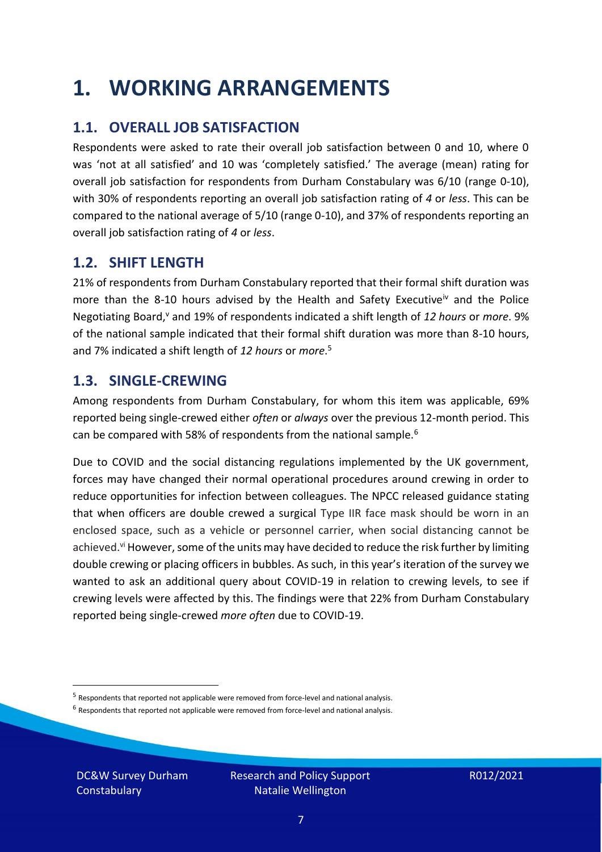### <span id="page-6-0"></span>**1. WORKING ARRANGEMENTS**

### **1.1. OVERALL JOB SATISFACTION**

Respondents were asked to rate their overall job satisfaction between 0 and 10, where 0 was 'not at all satisfied' and 10 was 'completely satisfied.' The average (mean) rating for overall job satisfaction for respondents from Durham Constabulary was 6/10 (range 0-10), with 30% of respondents reporting an overall job satisfaction rating of *4* or *less*. This can be compared to the national average of 5/10 (range 0-10), and 37% of respondents reporting an overall job satisfaction rating of *4* or *less*.

### **1.2. SHIFT LENGTH**

21% of respondents from Durham Constabulary reported that their formal shift duration was more than the 8-10 hours advised by the Health and Safety Executive<sup>iv</sup> and the Police Negotiating Board,<sup>v</sup> and 19% of respondents indicated a shift length of 12 hours or *more*. 9% of the national sample indicated that their formal shift duration was more than 8-10 hours, and 7% indicated a shift length of *12 hours* or *more*. 5

#### **1.3. SINGLE-CREWING**

Among respondents from Durham Constabulary, for whom this item was applicable, 69% reported being single-crewed either *often* or *always* over the previous 12-month period. This can be compared with 58% of respondents from the national sample.<sup>6</sup>

Due to COVID and the social distancing regulations implemented by the UK government, forces may have changed their normal operational procedures around crewing in order to reduce opportunities for infection between colleagues. The NPCC released guidance stating that when officers are double crewed a surgical Type IIR face mask should be worn in an enclosed space, such as a vehicle or personnel carrier, when social distancing cannot be achieved.<sup>vi</sup> However, some of the units may have decided to reduce the risk further by limiting double crewing or placing officers in bubbles. As such, in this year's iteration of the survey we wanted to ask an additional query about COVID-19 in relation to crewing levels, to see if crewing levels were affected by this. The findings were that 22% from Durham Constabulary reported being single-crewed *more often* due to COVID-19.

 $<sup>6</sup>$  Respondents that reported not applicable were removed from force-level and national analysis.</sup>

DC&W Survey Durham **Constabulary** 

<sup>&</sup>lt;sup>5</sup> Respondents that reported not applicable were removed from force-level and national analysis.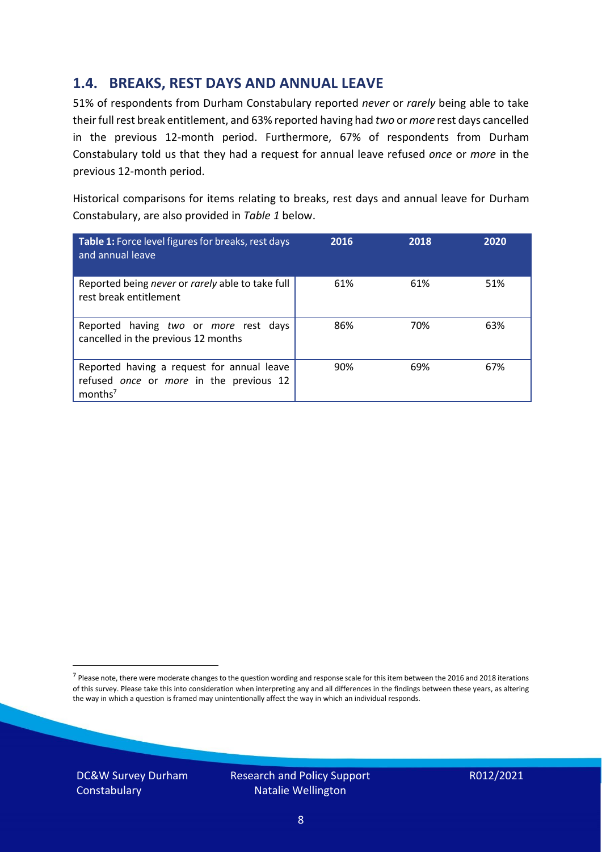### **1.4. BREAKS, REST DAYS AND ANNUAL LEAVE**

51% of respondents from Durham Constabulary reported *never* or *rarely* being able to take their full rest break entitlement, and 63% reported having had *two* or *more* rest days cancelled in the previous 12-month period. Furthermore, 67% of respondents from Durham Constabulary told us that they had a request for annual leave refused *once* or *more* in the previous 12-month period.

Historical comparisons for items relating to breaks, rest days and annual leave for Durham Constabulary, are also provided in *Table 1* below.

| Table 1: Force level figures for breaks, rest days<br>and annual leave                                       | 2016 | 2018 | 2020 |
|--------------------------------------------------------------------------------------------------------------|------|------|------|
| Reported being never or rarely able to take full<br>rest break entitlement                                   | 61%  | 61%  | 51%  |
| Reported having two or more rest days<br>cancelled in the previous 12 months                                 | 86%  | 70%  | 63%  |
| Reported having a request for annual leave<br>refused once or more in the previous 12<br>months <sup>7</sup> | 90%  | 69%  | 67%  |

DC&W Survey Durham **Constabulary** 

Research and Policy Support Natalie Wellington

<sup>&</sup>lt;sup>7</sup> Please note, there were moderate changes to the question wording and response scale for this item between the 2016 and 2018 iterations of this survey. Please take this into consideration when interpreting any and all differences in the findings between these years, as altering the way in which a question is framed may unintentionally affect the way in which an individual responds.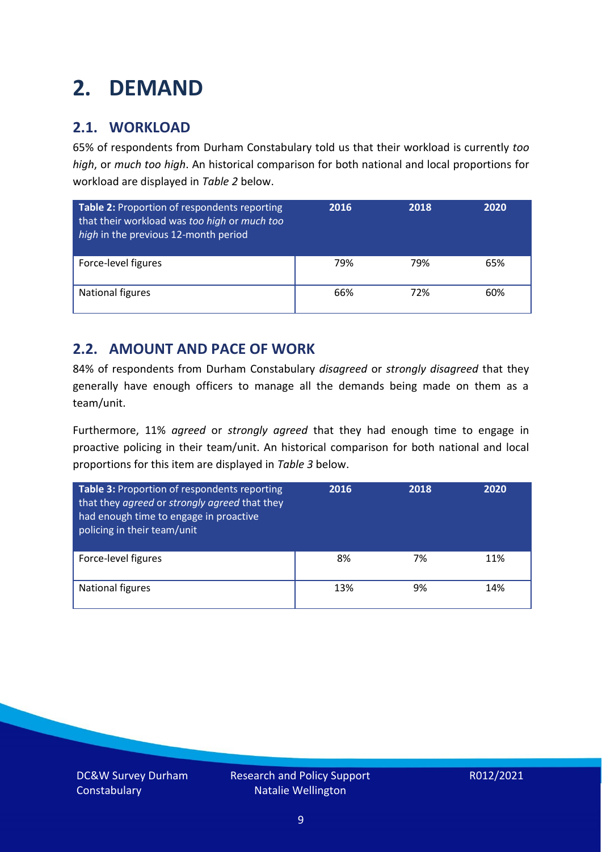### <span id="page-8-0"></span>**2. DEMAND**

### **2.1. WORKLOAD**

65% of respondents from Durham Constabulary told us that their workload is currently *too high*, or *much too high*. An historical comparison for both national and local proportions for workload are displayed in *Table 2* below.

| Table 2: Proportion of respondents reporting<br>that their workload was too high or much too<br>high in the previous 12-month period | 2016 | 2018 | 2020 |
|--------------------------------------------------------------------------------------------------------------------------------------|------|------|------|
| Force-level figures                                                                                                                  | 79%  | 79%  | 65%  |
| <b>National figures</b>                                                                                                              | 66%  | 72%  | 60%  |

### **2.2. AMOUNT AND PACE OF WORK**

84% of respondents from Durham Constabulary *disagreed* or *strongly disagreed* that they generally have enough officers to manage all the demands being made on them as a team/unit.

Furthermore, 11% *agreed* or *strongly agreed* that they had enough time to engage in proactive policing in their team/unit. An historical comparison for both national and local proportions for this item are displayed in *Table 3* below.

| Table 3: Proportion of respondents reporting<br>that they agreed or strongly agreed that they<br>had enough time to engage in proactive<br>policing in their team/unit | 2016 | 2018 | 2020 |
|------------------------------------------------------------------------------------------------------------------------------------------------------------------------|------|------|------|
| Force-level figures                                                                                                                                                    | 8%   | 7%   | 11%  |
| National figures                                                                                                                                                       | 13%  | 9%   | 14%  |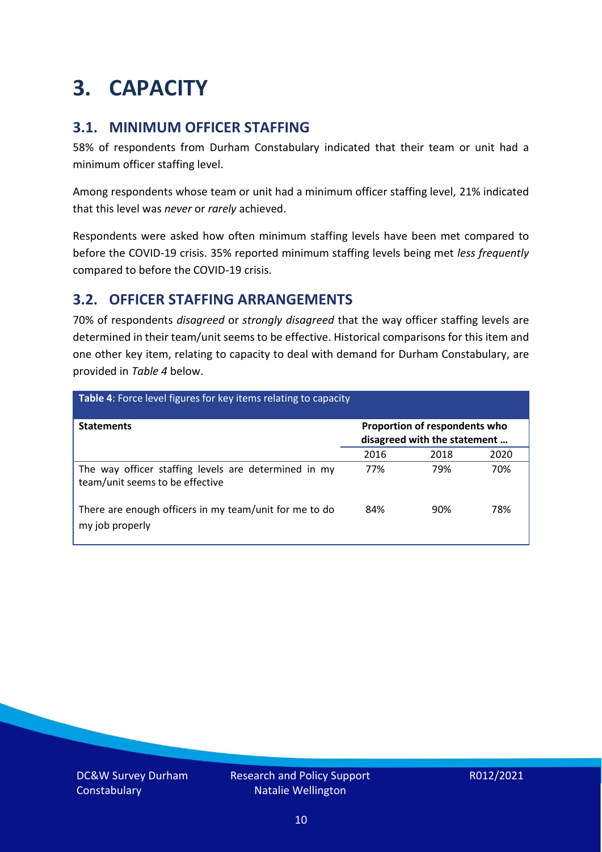### <span id="page-9-0"></span>**3. CAPACITY**

### **3.1. MINIMUM OFFICER STAFFING**

58% of respondents from Durham Constabulary indicated that their team or unit had a minimum officer staffing level.

Among respondents whose team or unit had a minimum officer staffing level, 21% indicated that this level was *never* or *rarely* achieved.

Respondents were asked how often minimum staffing levels have been met compared to before the COVID-19 crisis. 35% reported minimum staffing levels being met *less frequently* compared to before the COVID-19 crisis.

### **3.2. OFFICER STAFFING ARRANGEMENTS**

70% of respondents *disagreed* or *strongly disagreed* that the way officer staffing levels are determined in their team/unit seems to be effective. Historical comparisons for this item and one other key item, relating to capacity to deal with demand for Durham Constabulary, are provided in *Table 4* below.

| Table 4: Force level figures for key items relating to capacity                         |                                                               |      |      |
|-----------------------------------------------------------------------------------------|---------------------------------------------------------------|------|------|
| <b>Statements</b>                                                                       | Proportion of respondents who<br>disagreed with the statement |      |      |
|                                                                                         | 2016                                                          | 2018 | 2020 |
| The way officer staffing levels are determined in my<br>team/unit seems to be effective | 77%                                                           | 79%  | 70%  |
| There are enough officers in my team/unit for me to do<br>my job properly               | 84%                                                           | 90%  | 78%  |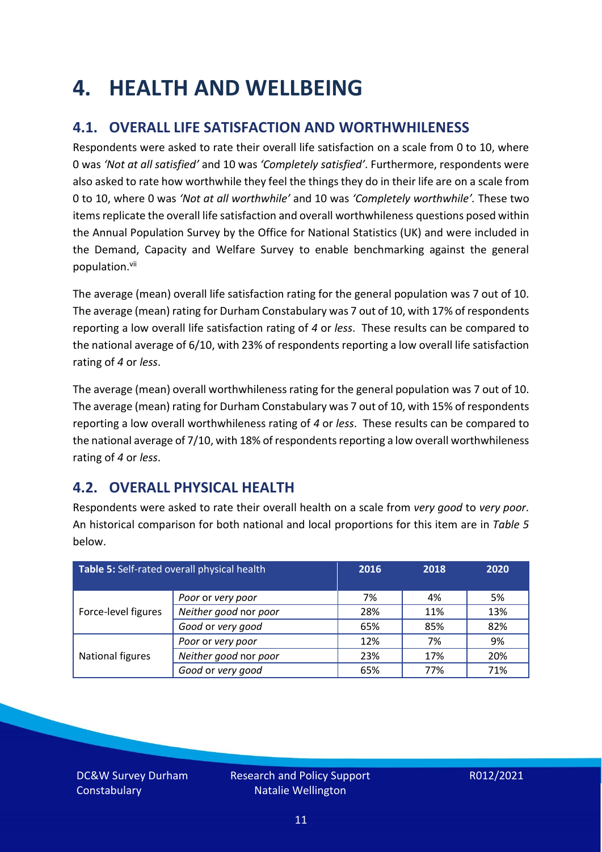### <span id="page-10-0"></span>**4. HEALTH AND WELLBEING**

### **4.1. OVERALL LIFE SATISFACTION AND WORTHWHILENESS**

Respondents were asked to rate their overall life satisfaction on a scale from 0 to 10, where 0 was *'Not at all satisfied'* and 10 was *'Completely satisfied'*. Furthermore, respondents were also asked to rate how worthwhile they feel the things they do in their life are on a scale from 0 to 10, where 0 was *'Not at all worthwhile'* and 10 was *'Completely worthwhile'.* These two items replicate the overall life satisfaction and overall worthwhileness questions posed within the Annual Population Survey by the Office for National Statistics (UK) and were included in the Demand, Capacity and Welfare Survey to enable benchmarking against the general population. vii

The average (mean) overall life satisfaction rating for the general population was 7 out of 10. The average (mean) rating for Durham Constabulary was 7 out of 10, with 17% of respondents reporting a low overall life satisfaction rating of *4* or *less*. These results can be compared to the national average of 6/10, with 23% of respondents reporting a low overall life satisfaction rating of *4* or *less*.

The average (mean) overall worthwhileness rating for the general population was 7 out of 10. The average (mean) rating for Durham Constabulary was 7 out of 10, with 15% of respondents reporting a low overall worthwhileness rating of *4* or *less*. These results can be compared to the national average of 7/10, with 18% of respondents reporting a low overall worthwhileness rating of *4* or *less*.

### **4.2. OVERALL PHYSICAL HEALTH**

Respondents were asked to rate their overall health on a scale from *very good* to *very poor*. An historical comparison for both national and local proportions for this item are in *Table 5* below.

| Table 5: Self-rated overall physical health |                       | 2016 | 2018 | 2020 |
|---------------------------------------------|-----------------------|------|------|------|
|                                             | Poor or very poor     | 7%   | 4%   | 5%   |
| Force-level figures                         | Neither good nor poor | 28%  | 11%  | 13%  |
|                                             | Good or very good     | 65%  | 85%  | 82%  |
|                                             | Poor or very poor     | 12%  | 7%   | 9%   |
| National figures                            | Neither good nor poor | 23%  | 17%  | 20%  |
|                                             | Good or very good     | 65%  | 77%  | 71%  |

DC&W Survey Durham **Constabulary**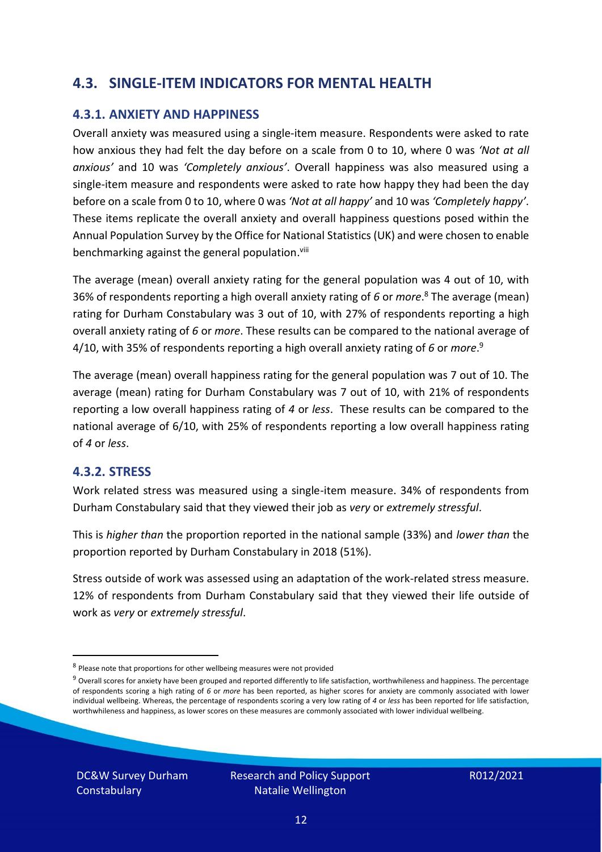### **4.3. SINGLE-ITEM INDICATORS FOR MENTAL HEALTH**

#### **4.3.1. ANXIETY AND HAPPINESS**

Overall anxiety was measured using a single-item measure. Respondents were asked to rate how anxious they had felt the day before on a scale from 0 to 10, where 0 was *'Not at all anxious'* and 10 was *'Completely anxious'*. Overall happiness was also measured using a single-item measure and respondents were asked to rate how happy they had been the day before on a scale from 0 to 10, where 0 was *'Not at all happy'* and 10 was *'Completely happy'*. These items replicate the overall anxiety and overall happiness questions posed within the Annual Population Survey by the Office for National Statistics (UK) and were chosen to enable benchmarking against the general population.<sup>viii</sup>

The average (mean) overall anxiety rating for the general population was 4 out of 10, with 36% of respondents reporting a high overall anxiety rating of *6* or *more*. <sup>8</sup> The average (mean) rating for Durham Constabulary was 3 out of 10, with 27% of respondents reporting a high overall anxiety rating of *6* or *more*. These results can be compared to the national average of 4/10, with 35% of respondents reporting a high overall anxiety rating of *6* or *more*. 9

The average (mean) overall happiness rating for the general population was 7 out of 10. The average (mean) rating for Durham Constabulary was 7 out of 10, with 21% of respondents reporting a low overall happiness rating of *4* or *less*. These results can be compared to the national average of 6/10, with 25% of respondents reporting a low overall happiness rating of *4* or *less*.

#### **4.3.2. STRESS**

Work related stress was measured using a single-item measure. 34% of respondents from Durham Constabulary said that they viewed their job as *very* or *extremely stressful*.

This is *higher than* the proportion reported in the national sample (33%) and *lower than* the proportion reported by Durham Constabulary in 2018 (51%).

Stress outside of work was assessed using an adaptation of the work-related stress measure. 12% of respondents from Durham Constabulary said that they viewed their life outside of work as *very* or *extremely stressful*.

DC&W Survey Durham **Constabulary** 

<sup>&</sup>lt;sup>8</sup> Please note that proportions for other wellbeing measures were not provided

 $9$  Overall scores for anxiety have been grouped and reported differently to life satisfaction, worthwhileness and happiness. The percentage of respondents scoring a high rating of *6* or *more* has been reported, as higher scores for anxiety are commonly associated with lower individual wellbeing. Whereas, the percentage of respondents scoring a very low rating of *4* or *less* has been reported for life satisfaction, worthwhileness and happiness, as lower scores on these measures are commonly associated with lower individual wellbeing.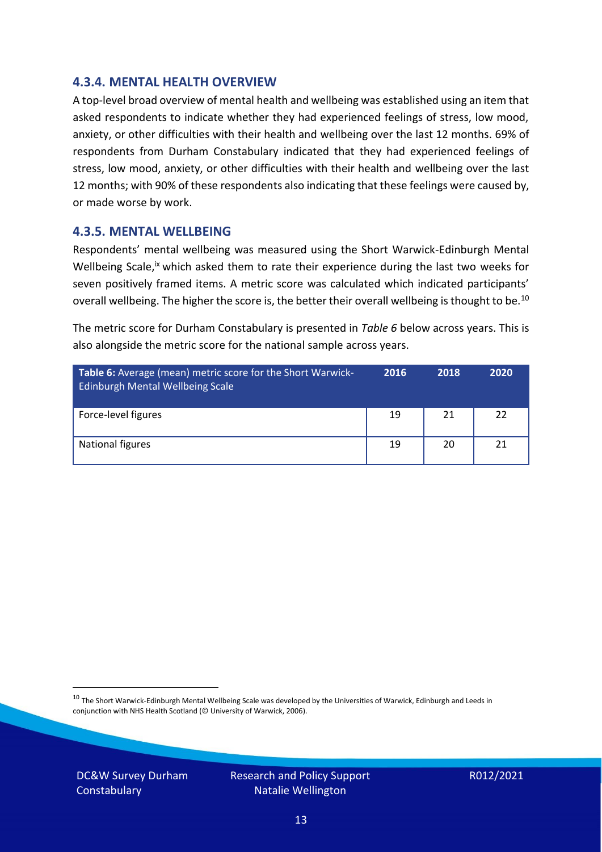#### **4.3.4. MENTAL HEALTH OVERVIEW**

A top-level broad overview of mental health and wellbeing was established using an item that asked respondents to indicate whether they had experienced feelings of stress, low mood, anxiety, or other difficulties with their health and wellbeing over the last 12 months. 69% of respondents from Durham Constabulary indicated that they had experienced feelings of stress, low mood, anxiety, or other difficulties with their health and wellbeing over the last 12 months; with 90% of these respondents also indicating that these feelings were caused by, or made worse by work.

#### **4.3.5. MENTAL WELLBEING**

Respondents' mental wellbeing was measured using the Short Warwick-Edinburgh Mental Wellbeing Scale,<sup>ix</sup> which asked them to rate their experience during the last two weeks for seven positively framed items. A metric score was calculated which indicated participants' overall wellbeing. The higher the score is, the better their overall wellbeing is thought to be.<sup>10</sup>

The metric score for Durham Constabulary is presented in *Table 6* below across years. This is also alongside the metric score for the national sample across years.

| <b>Table 6:</b> Average (mean) metric score for the Short Warwick-<br>Edinburgh Mental Wellbeing Scale | 2016 | 2018 | 2020 |
|--------------------------------------------------------------------------------------------------------|------|------|------|
| Force-level figures                                                                                    | 19   | 21   | 22   |
| National figures                                                                                       | 19   | 20   | 21   |

 $10$  The Short Warwick-Edinburgh Mental Wellbeing Scale was developed by the Universities of Warwick, Edinburgh and Leeds in conjunction with NHS Health Scotland (© University of Warwick, 2006).

DC&W Survey Durham **Constabulary** 

Research and Policy Support Natalie Wellington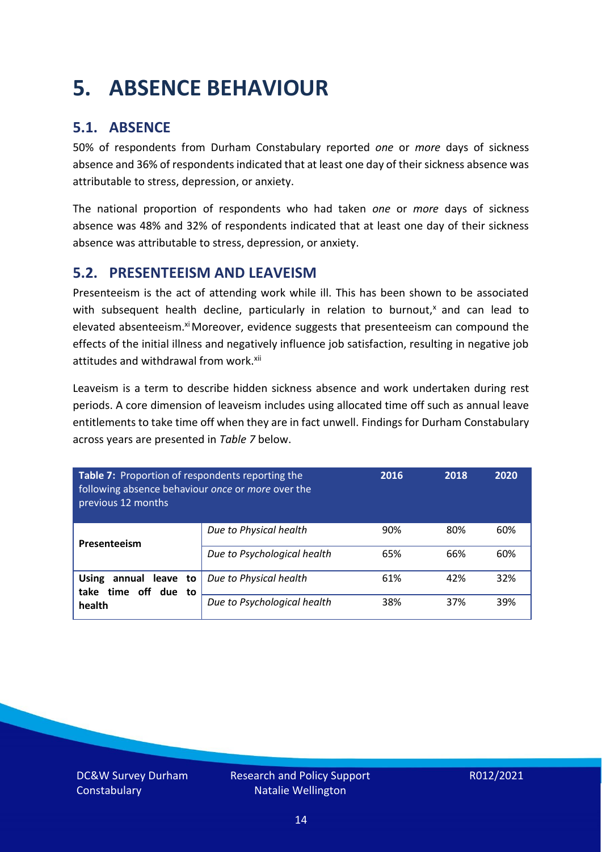### <span id="page-13-0"></span>**5. ABSENCE BEHAVIOUR**

### **5.1. ABSENCE**

50% of respondents from Durham Constabulary reported *one* or *more* days of sickness absence and 36% of respondents indicated that at least one day of their sickness absence was attributable to stress, depression, or anxiety.

The national proportion of respondents who had taken *one* or *more* days of sickness absence was 48% and 32% of respondents indicated that at least one day of their sickness absence was attributable to stress, depression, or anxiety.

#### **5.2. PRESENTEEISM AND LEAVEISM**

Presenteeism is the act of attending work while ill. This has been shown to be associated with subsequent health decline, particularly in relation to burnout, $x$  and can lead to elevated absenteeism.<sup>xi</sup> Moreover, evidence suggests that presenteeism can compound the effects of the initial illness and negatively influence job satisfaction, resulting in negative job attitudes and withdrawal from work.<sup>xii</sup>

Leaveism is a term to describe hidden sickness absence and work undertaken during rest periods. A core dimension of leaveism includes using allocated time off such as annual leave entitlements to take time off when they are in fact unwell. Findings for Durham Constabulary across years are presented in *Table 7* below.

| Table 7: Proportion of respondents reporting the<br>following absence behaviour once or more over the<br>previous 12 months |                             | 2016 | 2018 | 2020 |
|-----------------------------------------------------------------------------------------------------------------------------|-----------------------------|------|------|------|
| Presenteeism                                                                                                                | Due to Physical health      | 90%  | 80%  | 60%  |
|                                                                                                                             | Due to Psychological health | 65%  | 66%  | 60%  |
| <b>Using</b><br>annual leave to<br>time off due to<br>take                                                                  | Due to Physical health      | 61%  | 42%  | 32%  |
| health                                                                                                                      | Due to Psychological health | 38%  | 37%  | 39%  |

DC&W Survey Durham **Constabulary**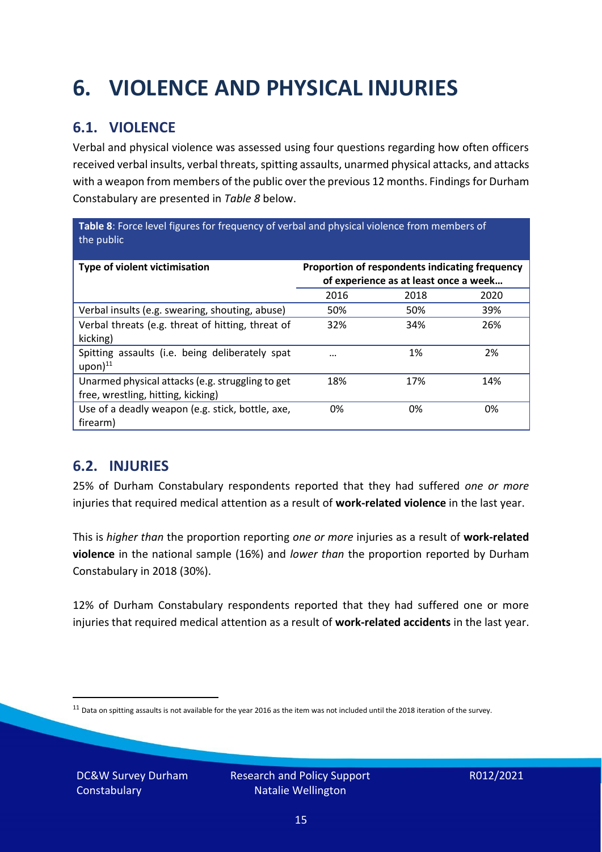## <span id="page-14-0"></span>**6. VIOLENCE AND PHYSICAL INJURIES**

### **6.1. VIOLENCE**

Verbal and physical violence was assessed using four questions regarding how often officers received verbal insults, verbal threats, spitting assaults, unarmed physical attacks, and attacks with a weapon from members of the public over the previous 12 months. Findings for Durham Constabulary are presented in *Table 8* below.

**Table 8**: Force level figures for frequency of verbal and physical violence from members of the public

| Type of violent victimisation                                                          | Proportion of respondents indicating frequency<br>of experience as at least once a week |      |      |
|----------------------------------------------------------------------------------------|-----------------------------------------------------------------------------------------|------|------|
|                                                                                        | 2016                                                                                    | 2018 | 2020 |
| Verbal insults (e.g. swearing, shouting, abuse)                                        | 50%                                                                                     | 50%  | 39%  |
| Verbal threats (e.g. threat of hitting, threat of<br>kicking)                          | 32%                                                                                     | 34%  | 26%  |
| Spitting assaults (i.e. being deliberately spat<br>$upon)$ <sup>11</sup>               |                                                                                         | 1%   | 2%   |
| Unarmed physical attacks (e.g. struggling to get<br>free, wrestling, hitting, kicking) | 18%                                                                                     | 17%  | 14%  |
| Use of a deadly weapon (e.g. stick, bottle, axe,<br>firearm)                           | 0%                                                                                      | 0%   | 0%   |

### **6.2. INJURIES**

25% of Durham Constabulary respondents reported that they had suffered *one or more* injuries that required medical attention as a result of **work-related violence** in the last year.

This is *higher than* the proportion reporting *one or more* injuries as a result of **work-related violence** in the national sample (16%) and *lower than* the proportion reported by Durham Constabulary in 2018 (30%).

12% of Durham Constabulary respondents reported that they had suffered one or more injuries that required medical attention as a result of **work-related accidents** in the last year.

 $11$  Data on spitting assaults is not available for the year 2016 as the item was not included until the 2018 iteration of the survey.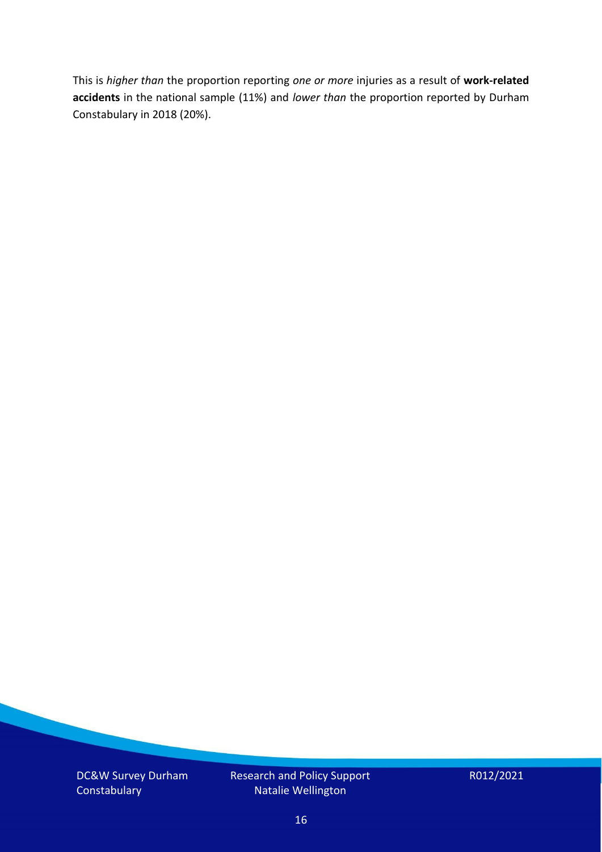This is *higher than* the proportion reporting *one or more* injuries as a result of **work-related accidents** in the national sample (11%) and *lower than* the proportion reported by Durham Constabulary in 2018 (20%).

DC&W Survey Durham **Constabulary** 

Research and Policy Support Natalie Wellington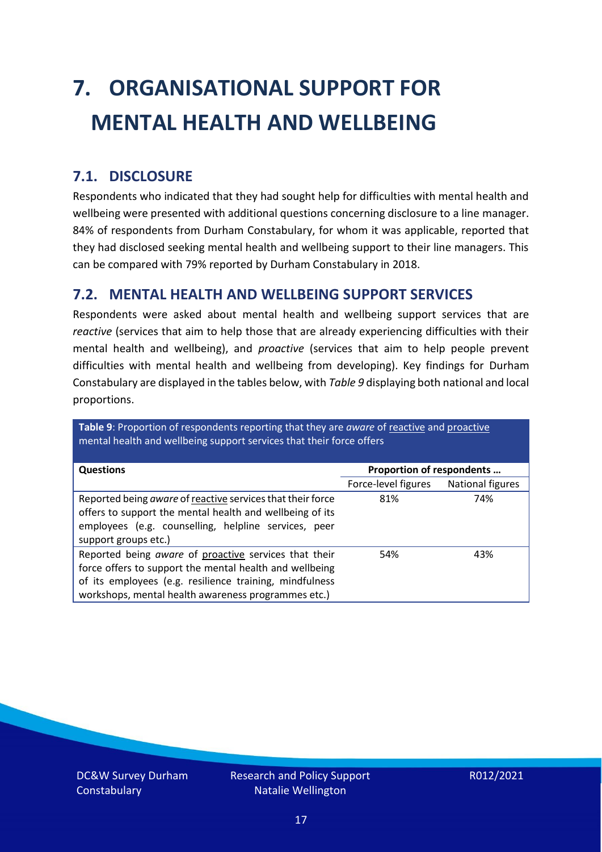# <span id="page-16-0"></span>**7. ORGANISATIONAL SUPPORT FOR MENTAL HEALTH AND WELLBEING**

### **7.1. DISCLOSURE**

Respondents who indicated that they had sought help for difficulties with mental health and wellbeing were presented with additional questions concerning disclosure to a line manager. 84% of respondents from Durham Constabulary, for whom it was applicable, reported that they had disclosed seeking mental health and wellbeing support to their line managers. This can be compared with 79% reported by Durham Constabulary in 2018.

#### **7.2. MENTAL HEALTH AND WELLBEING SUPPORT SERVICES**

Respondents were asked about mental health and wellbeing support services that are *reactive* (services that aim to help those that are already experiencing difficulties with their mental health and wellbeing), and *proactive* (services that aim to help people prevent difficulties with mental health and wellbeing from developing). Key findings for Durham Constabulary are displayed in the tables below, with *Table 9* displaying both national and local proportions.

**Table 9**: Proportion of respondents reporting that they are *aware* of reactive and proactive mental health and wellbeing support services that their force offers

| <b>Questions</b>                                           |                           |                  |
|------------------------------------------------------------|---------------------------|------------------|
|                                                            | Proportion of respondents |                  |
|                                                            | Force-level figures       | National figures |
| Reported being aware of reactive services that their force | 81%                       | 74%              |
| offers to support the mental health and wellbeing of its   |                           |                  |
| employees (e.g. counselling, helpline services, peer       |                           |                  |
| support groups etc.)                                       |                           |                  |
|                                                            |                           |                  |
| Reported being aware of proactive services that their      | 54%                       | 43%              |
| force offers to support the mental health and wellbeing    |                           |                  |
| of its employees (e.g. resilience training, mindfulness    |                           |                  |
| workshops, mental health awareness programmes etc.)        |                           |                  |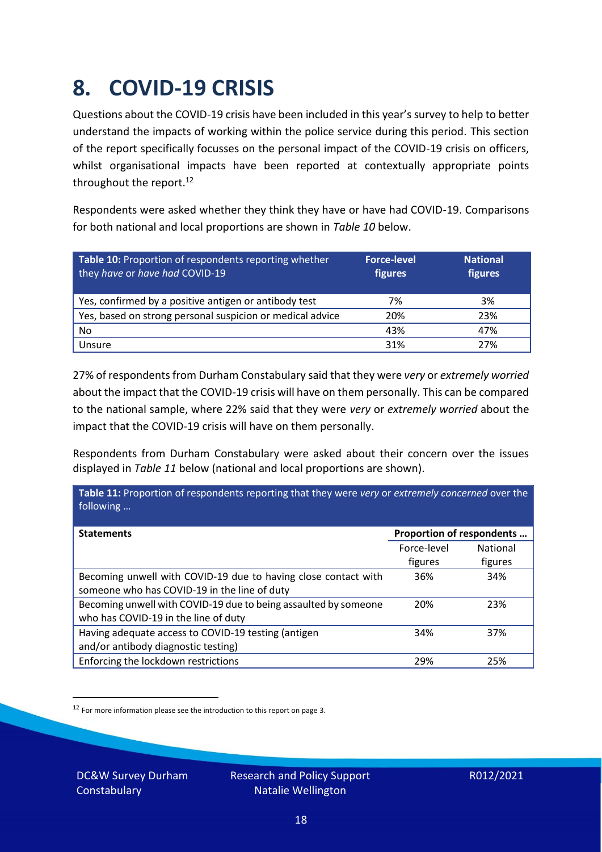### <span id="page-17-0"></span>**8. COVID-19 CRISIS**

Questions about the COVID-19 crisis have been included in this year's survey to help to better understand the impacts of working within the police service during this period. This section of the report specifically focusses on the personal impact of the COVID-19 crisis on officers, whilst organisational impacts have been reported at contextually appropriate points throughout the report.<sup>12</sup>

Respondents were asked whether they think they have or have had COVID-19. Comparisons for both national and local proportions are shown in *Table 10* below.

| Table 10: Proportion of respondents reporting whether<br>they have or have had COVID-19 | <b>Force-level</b><br>figures | <b>National</b><br>figures |
|-----------------------------------------------------------------------------------------|-------------------------------|----------------------------|
| Yes, confirmed by a positive antigen or antibody test                                   | 7%                            | 3%                         |
| Yes, based on strong personal suspicion or medical advice                               | 20%                           | 23%                        |
| No                                                                                      | 43%                           | 47%                        |
| Unsure                                                                                  | 31%                           | 27%                        |

27% of respondents from Durham Constabulary said that they were *very* or *extremely worried* about the impact that the COVID-19 crisis will have on them personally. This can be compared to the national sample, where 22% said that they were *very* or *extremely worried* about the impact that the COVID-19 crisis will have on them personally.

Respondents from Durham Constabulary were asked about their concern over the issues displayed in *Table 11* below (national and local proportions are shown).

| Table 11: Proportion of respondents reporting that they were very or extremely concerned over the<br>following |                           |                            |
|----------------------------------------------------------------------------------------------------------------|---------------------------|----------------------------|
| <b>Statements</b>                                                                                              | Proportion of respondents |                            |
|                                                                                                                | Force-level<br>figures    | <b>National</b><br>figures |
| Becoming unwell with COVID-19 due to having close contact with<br>someone who has COVID-19 in the line of duty | 36%                       | 34%                        |
| Becoming unwell with COVID-19 due to being assaulted by someone<br>who has COVID-19 in the line of duty        | 20%                       | 23%                        |
| Having adequate access to COVID-19 testing (antigen<br>and/or antibody diagnostic testing)                     | 34%                       | 37%                        |
| Enforcing the lockdown restrictions                                                                            | 29%                       | 25%                        |

<sup>12</sup> For more information please see the introduction to this report on page 3.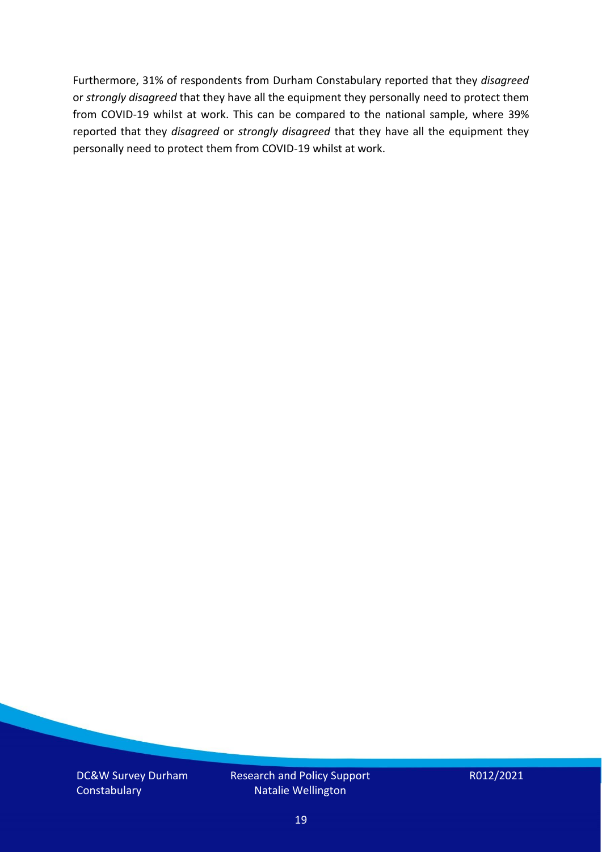Furthermore, 31% of respondents from Durham Constabulary reported that they *disagreed*  or *strongly disagreed* that they have all the equipment they personally need to protect them from COVID-19 whilst at work. This can be compared to the national sample, where 39% reported that they *disagreed* or *strongly disagreed* that they have all the equipment they personally need to protect them from COVID-19 whilst at work.

DC&W Survey Durham **Constabulary** 

Research and Policy Support Natalie Wellington